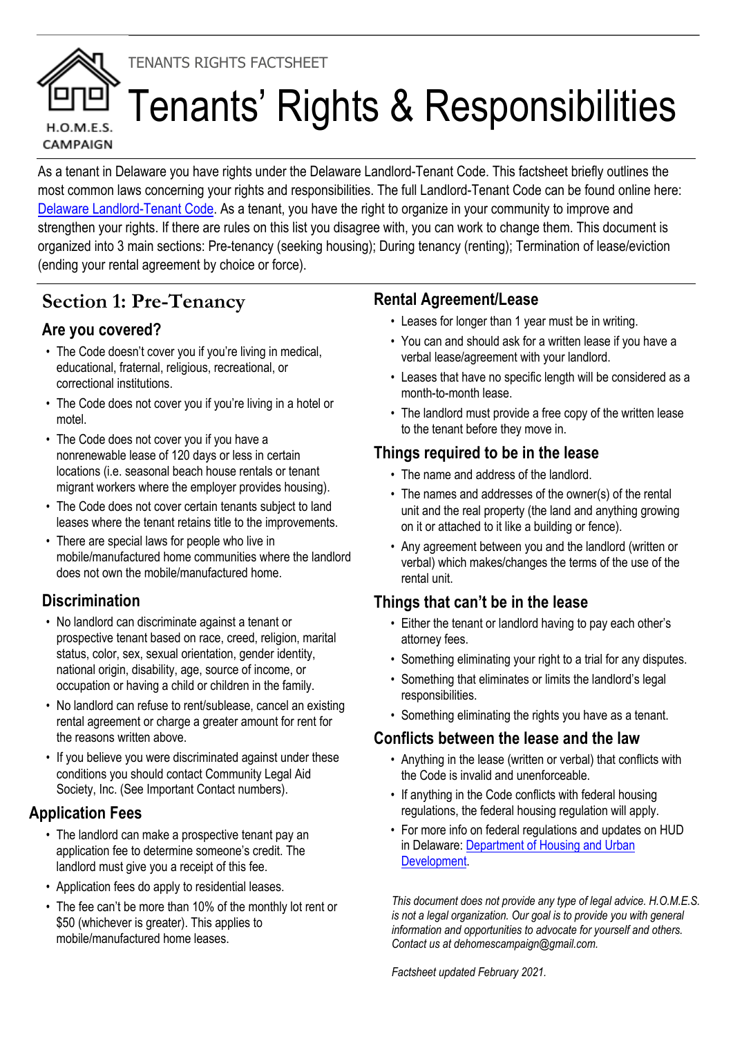# TENANTS RIGHTS FACTSHEET



# Tenants' Rights & Responsibilities

As a tenant in Delaware you have rights under the Delaware Landlord-Tenant Code. This factsheet briefly outlines the most common laws concerning your rights and responsibilities. The full Landlord-Tenant Code can be found online here: Delaware Landlord-Tenant Code. As a tenant, you have the right to organize in your community to improve and strengthen your rights. If there are rules on this list you disagree with, you can work to change them. This document is organized into 3 main sections: Pre-tenancy (seeking housing); During tenancy (renting); Termination of lease/eviction (ending your rental agreement by choice or force).

# **Section 1: Pre-Tenancy**

# **Are you covered?**

- The Code doesn't cover you if you're living in medical, educational, fraternal, religious, recreational, or correctional institutions.
- The Code does not cover you if you're living in a hotel or motel.
- The Code does not cover you if you have a nonrenewable lease of 120 days or less in certain locations (i.e. seasonal beach house rentals or tenant migrant workers where the employer provides housing).
- The Code does not cover certain tenants subject to land leases where the tenant retains title to the improvements.
- There are special laws for people who live in mobile/manufactured home communities where the landlord does not own the mobile/manufactured home.

# **Discrimination**

- No landlord can discriminate against a tenant or prospective tenant based on race, creed, religion, marital status, color, sex, sexual orientation, gender identity, national origin, disability, age, source of income, or occupation or having a child or children in the family.
- No landlord can refuse to rent/sublease, cancel an existing rental agreement or charge a greater amount for rent for the reasons written above.
- If you believe you were discriminated against under these conditions you should contact Community Legal Aid Society, Inc. (See Important Contact numbers).

# **Application Fees**

- The landlord can make a prospective tenant pay an application fee to determine someone's credit. The landlord must give you a receipt of this fee.
- Application fees do apply to residential leases.
- The fee can't be more than 10% of the monthly lot rent or \$50 (whichever is greater). This applies to mobile/manufactured home leases.

#### **Rental Agreement/Lease**

- Leases for longer than 1 year must be in writing.
- You can and should ask for a written lease if you have a verbal lease/agreement with your landlord.
- Leases that have no specific length will be considered as a month-to-month lease.
- The landlord must provide a free copy of the written lease to the tenant before they move in.

#### **Things required to be in the lease**

- The name and address of the landlord.
- The names and addresses of the owner(s) of the rental unit and the real property (the land and anything growing on it or attached to it like a building or fence).
- Any agreement between you and the landlord (written or verbal) which makes/changes the terms of the use of the rental unit.

# **Things that can't be in the lease**

- Either the tenant or landlord having to pay each other's attorney fees.
- Something eliminating your right to a trial for any disputes.
- Something that eliminates or limits the landlord's legal responsibilities.
- Something eliminating the rights you have as a tenant.

# **Conflicts between the lease and the law**

- Anything in the lease (written or verbal) that conflicts with the Code is invalid and unenforceable.
- If anything in the Code conflicts with federal housing regulations, the federal housing regulation will apply.
- For more info on federal regulations and updates on HUD in Delaware: Department of Housing and Urban Development.

*This document does not provide any type of legal advice. H.O.M.E.S. is not a legal organization. Our goal is to provide you with general information and opportunities to advocate for yourself and others. Contact us at dehomescampaign@gmail.com.*

*Factsheet updated February 2021.*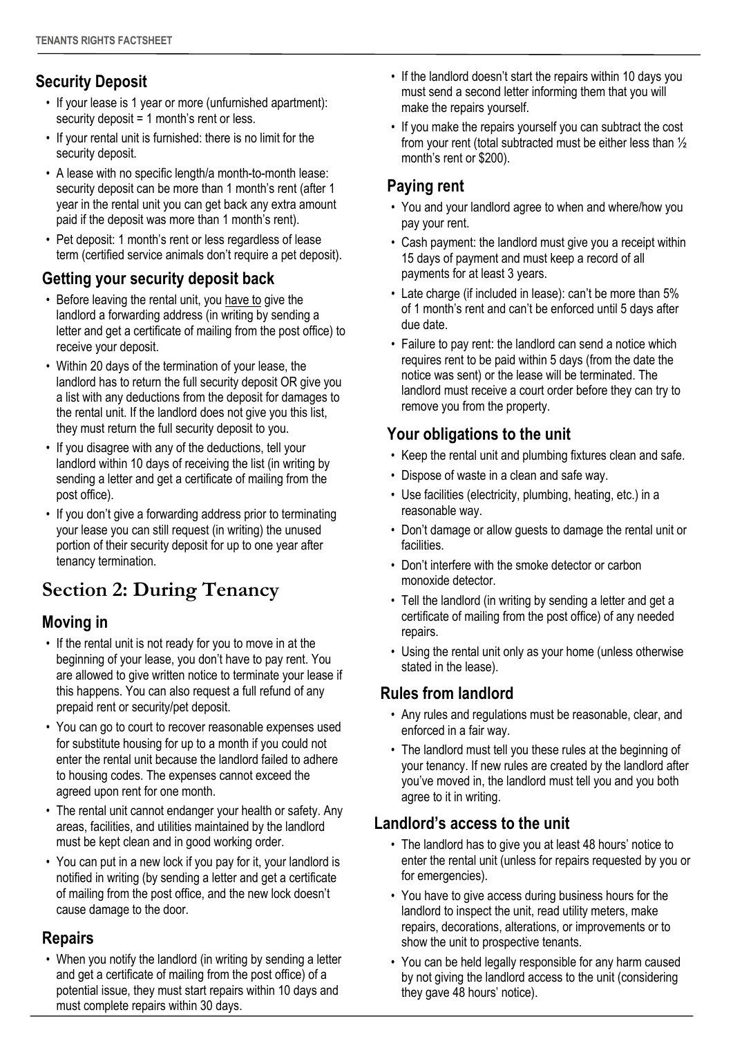#### **Security Deposit**

- If your lease is 1 year or more (unfurnished apartment): security deposit = 1 month's rent or less.
- If your rental unit is furnished: there is no limit for the security deposit.
- A lease with no specific length/a month-to-month lease: security deposit can be more than 1 month's rent (after 1 year in the rental unit you can get back any extra amount paid if the deposit was more than 1 month's rent).
- Pet deposit: 1 month's rent or less regardless of lease term (certified service animals don't require a pet deposit).

#### **Getting your security deposit back**

- Before leaving the rental unit, you have to give the landlord a forwarding address (in writing by sending a letter and get a certificate of mailing from the post office) to receive your deposit.
- Within 20 days of the termination of your lease, the landlord has to return the full security deposit OR give you a list with any deductions from the deposit for damages to the rental unit. If the landlord does not give you this list, they must return the full security deposit to you.
- If you disagree with any of the deductions, tell your landlord within 10 days of receiving the list (in writing by sending a letter and get a certificate of mailing from the post office).
- If you don't give a forwarding address prior to terminating your lease you can still request (in writing) the unused portion of their security deposit for up to one year after tenancy termination.

# **Section 2: During Tenancy**

#### **Moving in**

- If the rental unit is not ready for you to move in at the beginning of your lease, you don't have to pay rent. You are allowed to give written notice to terminate your lease if this happens. You can also request a full refund of any prepaid rent or security/pet deposit.
- You can go to court to recover reasonable expenses used for substitute housing for up to a month if you could not enter the rental unit because the landlord failed to adhere to housing codes. The expenses cannot exceed the agreed upon rent for one month.
- The rental unit cannot endanger your health or safety. Any areas, facilities, and utilities maintained by the landlord must be kept clean and in good working order.
- You can put in a new lock if you pay for it, your landlord is notified in writing (by sending a letter and get a certificate of mailing from the post office, and the new lock doesn't cause damage to the door.

#### **Repairs**

• When you notify the landlord (in writing by sending a letter and get a certificate of mailing from the post office) of a potential issue, they must start repairs within 10 days and must complete repairs within 30 days.

- If the landlord doesn't start the repairs within 10 days you must send a second letter informing them that you will make the repairs yourself.
- If you make the repairs yourself you can subtract the cost from your rent (total subtracted must be either less than ½ month's rent or \$200).

# **Paying rent**

- You and your landlord agree to when and where/how you pay your rent.
- Cash payment: the landlord must give you a receipt within 15 days of payment and must keep a record of all payments for at least 3 years.
- Late charge (if included in lease): can't be more than 5% of 1 month's rent and can't be enforced until 5 days after due date.
- Failure to pay rent: the landlord can send a notice which requires rent to be paid within 5 days (from the date the notice was sent) or the lease will be terminated. The landlord must receive a court order before they can try to remove you from the property.

#### **Your obligations to the unit**

- Keep the rental unit and plumbing fixtures clean and safe.
- Dispose of waste in a clean and safe way.
- Use facilities (electricity, plumbing, heating, etc.) in a reasonable way.
- Don't damage or allow guests to damage the rental unit or facilities.
- Don't interfere with the smoke detector or carbon monoxide detector.
- Tell the landlord (in writing by sending a letter and get a certificate of mailing from the post office) of any needed repairs.
- Using the rental unit only as your home (unless otherwise stated in the lease).

#### **Rules from landlord**

- Any rules and regulations must be reasonable, clear, and enforced in a fair way.
- The landlord must tell you these rules at the beginning of your tenancy. If new rules are created by the landlord after you've moved in, the landlord must tell you and you both agree to it in writing.

#### **Landlord's access to the unit**

- The landlord has to give you at least 48 hours' notice to enter the rental unit (unless for repairs requested by you or for emergencies).
- You have to give access during business hours for the landlord to inspect the unit, read utility meters, make repairs, decorations, alterations, or improvements or to show the unit to prospective tenants.
- You can be held legally responsible for any harm caused by not giving the landlord access to the unit (considering they gave 48 hours' notice).